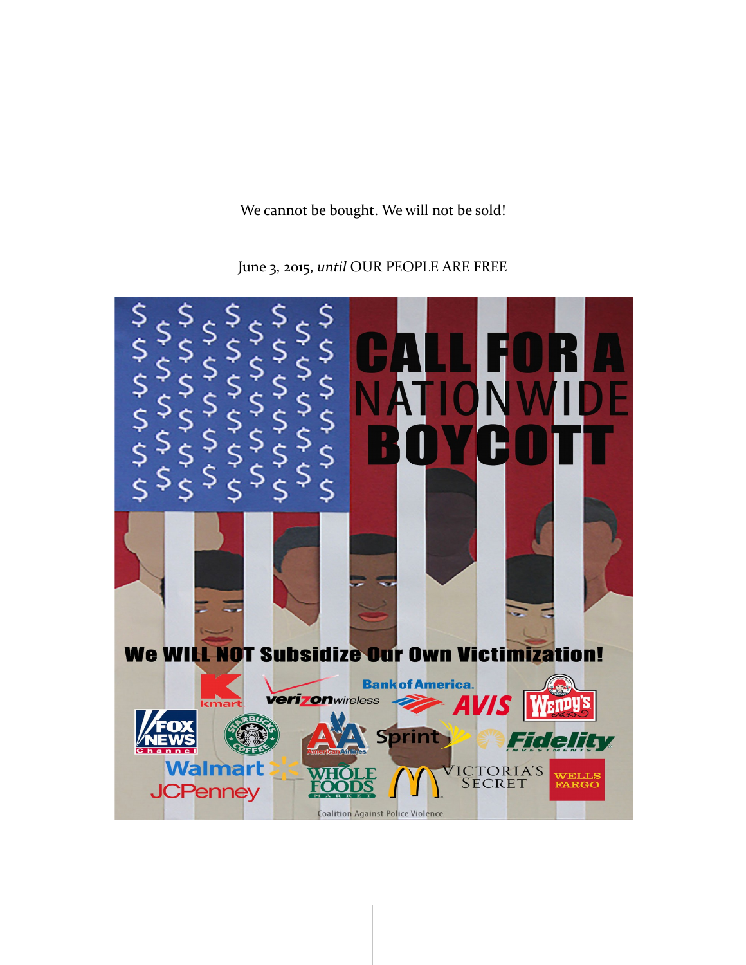We cannot be bought. We will not be sold!



June 3, 2015, *until* OUR PEOPLE ARE FREE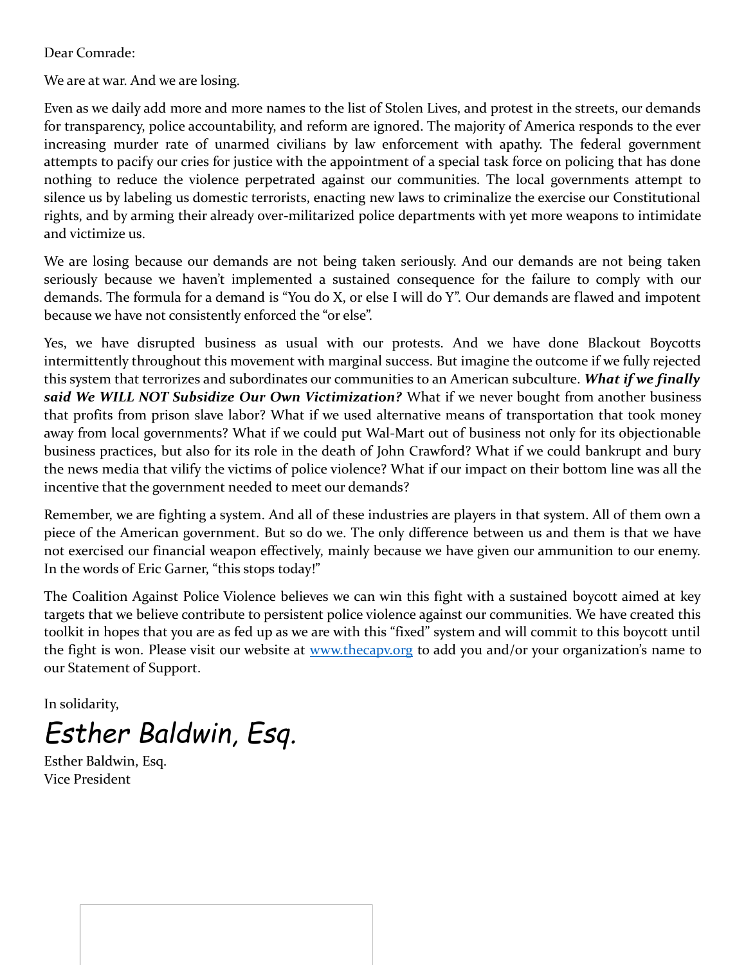Dear Comrade:

We are at war. And we are losing.

Even as we daily add more and more names to the list of Stolen Lives, and protest in the streets, our demands for transparency, police accountability, and reform are ignored. The majority of America responds to the ever increasing murder rate of unarmed civilians by law enforcement with apathy. The federal government attempts to pacify our cries for justice with the appointment of a special task force on policing that has done nothing to reduce the violence perpetrated against our communities. The local governments attempt to silence us by labeling us domestic terrorists, enacting new laws to criminalize the exercise our Constitutional rights, and by arming their already over-militarized police departments with yet more weapons to intimidate and victimize us.

We are losing because our demands are not being taken seriously. And our demands are not being taken seriously because we haven't implemented a sustained consequence for the failure to comply with our demands. The formula for a demand is "You do X, or else I will do Y". Our demands are flawed and impotent because we have not consistently enforced the "or else".

Yes, we have disrupted business as usual with our protests. And we have done Blackout Boycotts intermittently throughout this movement with marginal success. But imagine the outcome if we fully rejected this system that terrorizes and subordinates our communities to an American subculture. *What if we finally said We WILL NOT Subsidize Our Own Victimization?* What if we never bought from another business that profits from prison slave labor? What if we used alternative means of transportation that took money away from local governments? What if we could put Wal-Mart out of business not only for its objectionable business practices, but also for its role in the death of John Crawford? What if we could bankrupt and bury the news media that vilify the victims of police violence? What if our impact on their bottom line was all the incentive that the government needed to meet our demands?

Remember, we are fighting a system. And all of these industries are players in that system. All of them own a piece of the American government. But so do we. The only difference between us and them is that we have not exercised our financial weapon effectively, mainly because we have given our ammunition to our enemy. In the words of Eric Garner, "this stops today!"

The Coalition Against Police Violence believes we can win this fight with a sustained boycott aimed at key targets that we believe contribute to persistent police violence against our communities. We have created this toolkit in hopes that you are as fed up as we are with this "fixed" system and will commit to this boycott until the fight is won. Please visit our website at www.thecapy.org to add you and/or your organization's name to our Statement of Support.

In solidarity,

*Esther Baldwin, Esq.*

Esther Baldwin, Esq. Vice President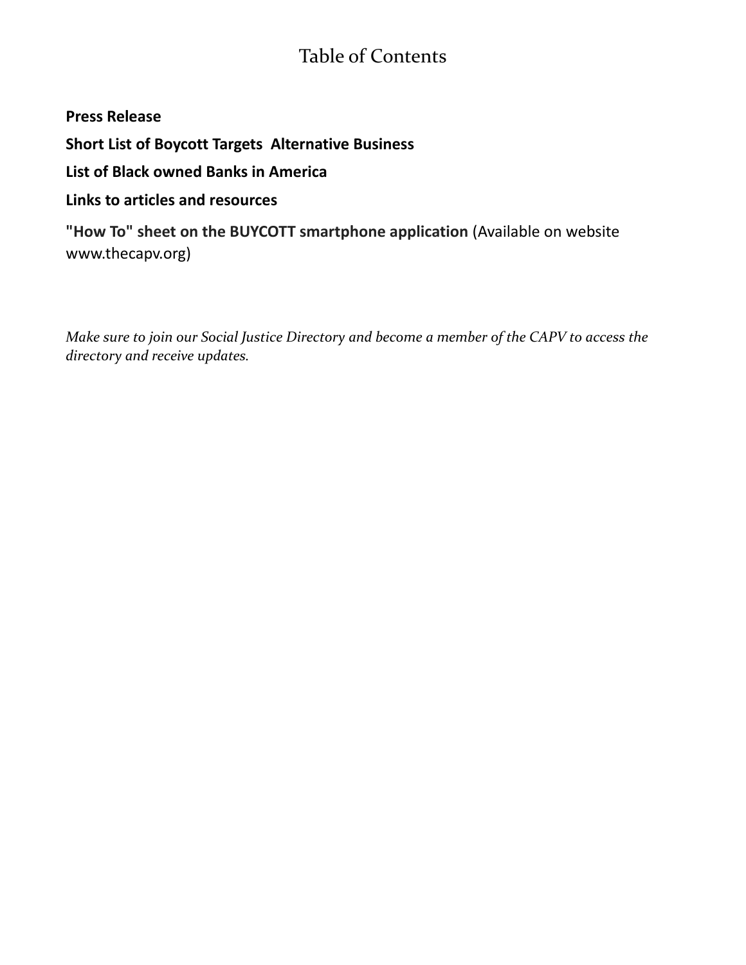# Table of Contents

### **Press Release**

**Short List of Boycott Targets Alternative Business** 

**List of Black owned Banks in America**

## **Links to articles and resources**

**"How To" sheet on the BUYCOTT smartphone application** (Available on website www.thecapv.org)

*Make sure to join our Social Justice Directory and become a member of the CAPV to access the directory and receive updates.*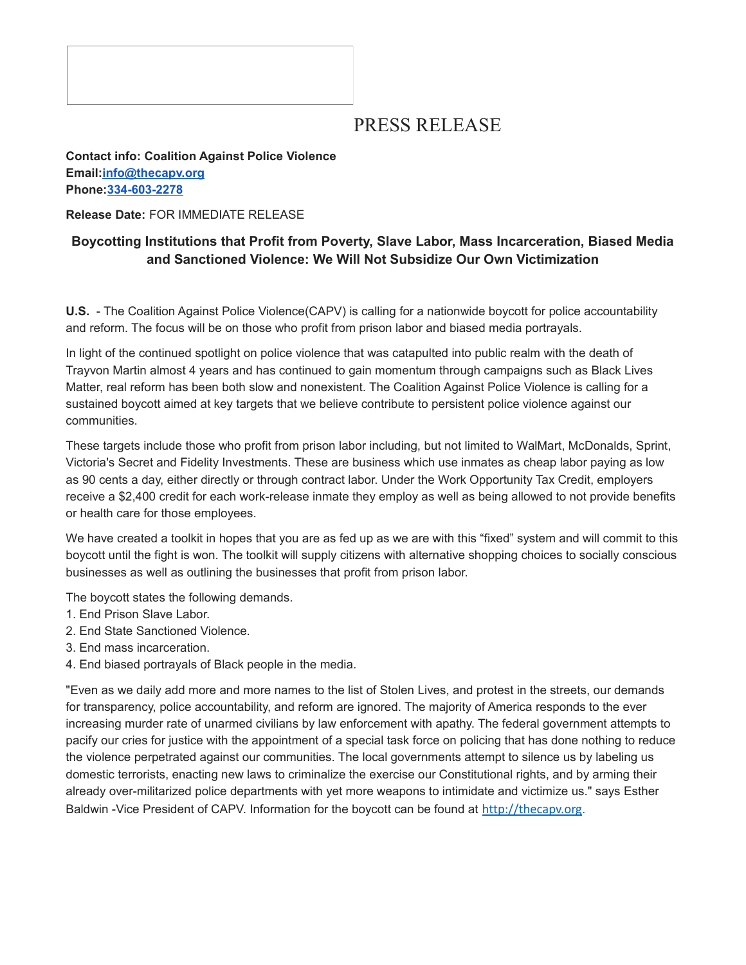# PRESS RELEASE

#### **Contact info: Coalition Against Police Violence Email[:info@thecapv.org](mailto:info@thecapv.org) Phone[:334-603-2278](tel:334-603-2278)**

**Release Date:** FOR IMMEDIATE RELEASE

### **Boycotting Institutions that Profit from Poverty, Slave Labor, Mass Incarceration, Biased Media and Sanctioned Violence: We Will Not Subsidize Our Own Victimization**

**U.S.** - The Coalition Against Police Violence(CAPV) is calling for a nationwide boycott for police accountability and reform. The focus will be on those who profit from prison labor and biased media portrayals.

In light of the continued spotlight on police violence that was catapulted into public realm with the death of Trayvon Martin almost 4 years and has continued to gain momentum through campaigns such as Black Lives Matter, real reform has been both slow and nonexistent. The Coalition Against Police Violence is calling for a sustained boycott aimed at key targets that we believe contribute to persistent police violence against our communities.

These targets include those who profit from prison labor including, but not limited to WalMart, McDonalds, Sprint, Victoria's Secret and Fidelity Investments. These are business which use inmates as cheap labor paying as low as 90 cents a day, either directly or through contract labor. Under the Work Opportunity Tax Credit, employers receive a \$2,400 credit for each work-release inmate they employ as well as being allowed to not provide benefits or health care for those employees.

We have created a toolkit in hopes that you are as fed up as we are with this "fixed" system and will commit to this boycott until the fight is won. The toolkit will supply citizens with alternative shopping choices to socially conscious businesses as well as outlining the businesses that profit from prison labor.

The boycott states the following demands.

- 1. End Prison Slave Labor.
- 2. End State Sanctioned Violence.
- 3. End mass incarceration.
- 4. End biased portrayals of Black people in the media.

"Even as we daily add more and more names to the list of Stolen Lives, and protest in the streets, our demands for transparency, police accountability, and reform are ignored. The majority of America responds to the ever increasing murder rate of unarmed civilians by law enforcement with apathy. The federal government attempts to pacify our cries for justice with the appointment of a special task force on policing that has done nothing to reduce the violence perpetrated against our communities. The local governments attempt to silence us by labeling us domestic terrorists, enacting new laws to criminalize the exercise our Constitutional rights, and by arming their already over-militarized police departments with yet more weapons to intimidate and victimize us." says Esther Baldwin -Vice President of CAPV. Information for the boycott can be found at [http://thecapv.org](http://thecapv.org/).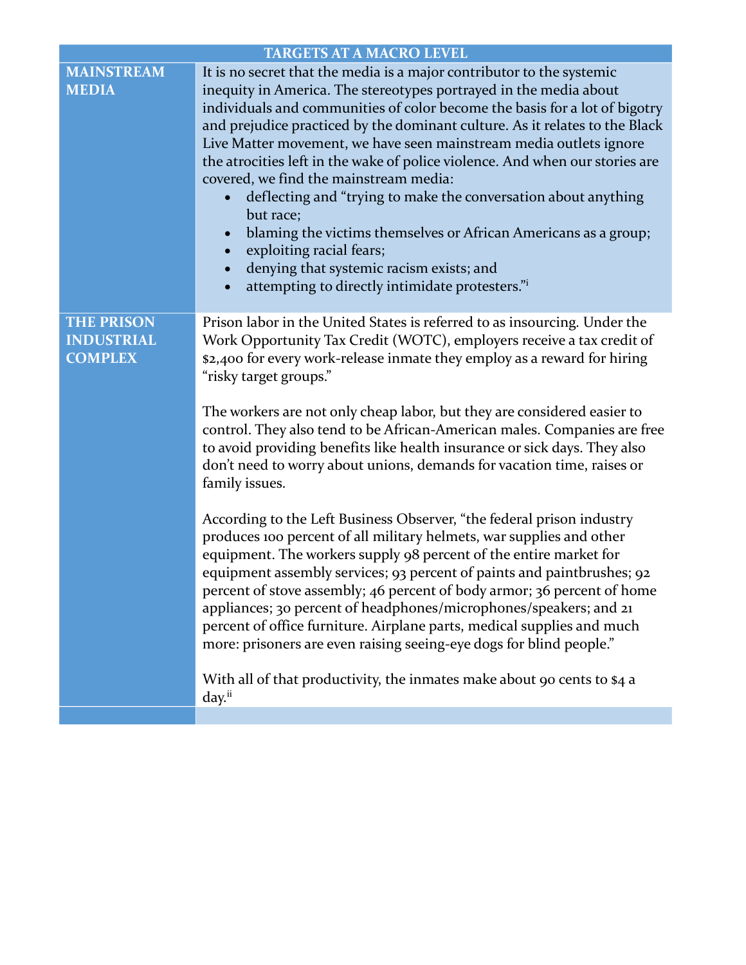| <b>TARGETS AT A MACRO LEVEL</b>                          |                                                                                                                                                                                                                                                                                                                                                                                                                                                                                                                                                                                                                                                                                                                                                                                                                                                                                                                                                                                                                                                                                                                                                                                                                                                                                            |  |
|----------------------------------------------------------|--------------------------------------------------------------------------------------------------------------------------------------------------------------------------------------------------------------------------------------------------------------------------------------------------------------------------------------------------------------------------------------------------------------------------------------------------------------------------------------------------------------------------------------------------------------------------------------------------------------------------------------------------------------------------------------------------------------------------------------------------------------------------------------------------------------------------------------------------------------------------------------------------------------------------------------------------------------------------------------------------------------------------------------------------------------------------------------------------------------------------------------------------------------------------------------------------------------------------------------------------------------------------------------------|--|
| <b>MAINSTREAM</b><br><b>MEDIA</b>                        | It is no secret that the media is a major contributor to the systemic<br>inequity in America. The stereotypes portrayed in the media about<br>individuals and communities of color become the basis for a lot of bigotry<br>and prejudice practiced by the dominant culture. As it relates to the Black<br>Live Matter movement, we have seen mainstream media outlets ignore<br>the atrocities left in the wake of police violence. And when our stories are<br>covered, we find the mainstream media:<br>deflecting and "trying to make the conversation about anything<br>but race;<br>blaming the victims themselves or African Americans as a group;<br>$\bullet$<br>exploiting racial fears;<br>$\bullet$<br>denying that systemic racism exists; and<br>$\bullet$<br>attempting to directly intimidate protesters."                                                                                                                                                                                                                                                                                                                                                                                                                                                                 |  |
| <b>THE PRISON</b><br><b>INDUSTRIAL</b><br><b>COMPLEX</b> | Prison labor in the United States is referred to as insourcing. Under the<br>Work Opportunity Tax Credit (WOTC), employers receive a tax credit of<br>\$2,400 for every work-release inmate they employ as a reward for hiring<br>"risky target groups."<br>The workers are not only cheap labor, but they are considered easier to<br>control. They also tend to be African-American males. Companies are free<br>to avoid providing benefits like health insurance or sick days. They also<br>don't need to worry about unions, demands for vacation time, raises or<br>family issues.<br>According to the Left Business Observer, "the federal prison industry<br>produces 100 percent of all military helmets, war supplies and other<br>equipment. The workers supply 98 percent of the entire market for<br>equipment assembly services; 93 percent of paints and paintbrushes; 92<br>percent of stove assembly; 46 percent of body armor; 36 percent of home<br>appliances; 30 percent of headphones/microphones/speakers; and 21<br>percent of office furniture. Airplane parts, medical supplies and much<br>more: prisoners are even raising seeing-eye dogs for blind people."<br>With all of that productivity, the inmates make about 90 cents to \$4 a<br>day. <sup>ii</sup> |  |
|                                                          |                                                                                                                                                                                                                                                                                                                                                                                                                                                                                                                                                                                                                                                                                                                                                                                                                                                                                                                                                                                                                                                                                                                                                                                                                                                                                            |  |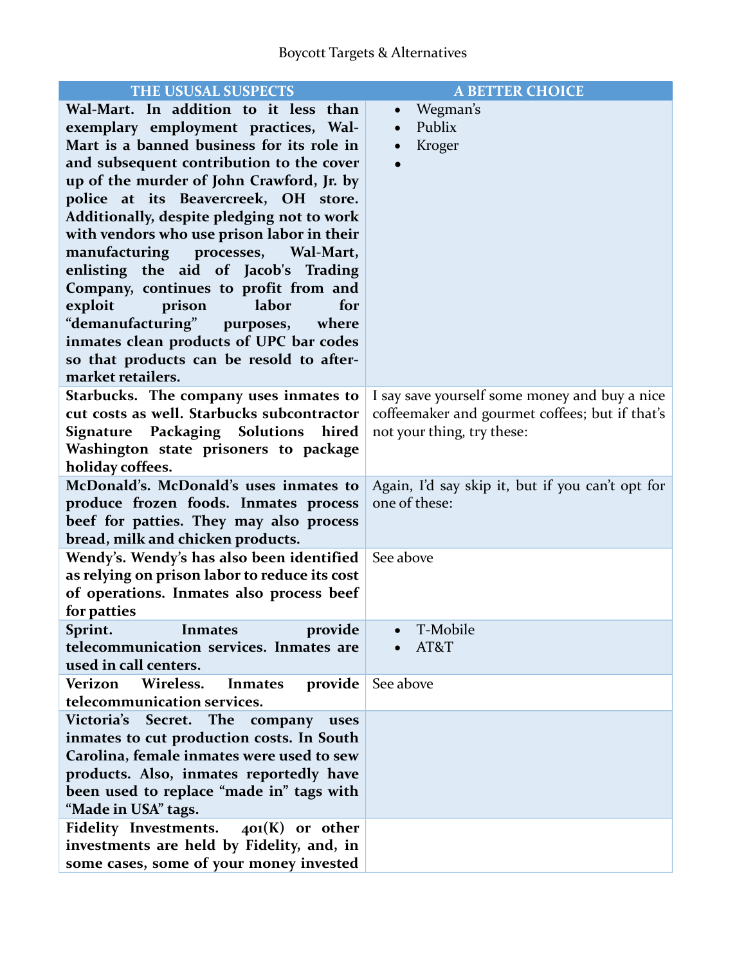| THE USUSAL SUSPECTS                                     | <b>A BETTER CHOICE</b>                           |
|---------------------------------------------------------|--------------------------------------------------|
| Wal-Mart. In addition to it less than                   | Wegman's                                         |
| exemplary employment practices, Wal-                    | Publix                                           |
| Mart is a banned business for its role in               | Kroger                                           |
| and subsequent contribution to the cover                |                                                  |
| up of the murder of John Crawford, Jr. by               |                                                  |
| police at its Beavercreek, OH store.                    |                                                  |
| Additionally, despite pledging not to work              |                                                  |
| with vendors who use prison labor in their              |                                                  |
| manufacturing processes, Wal-Mart,                      |                                                  |
| enlisting the aid of Jacob's Trading                    |                                                  |
| Company, continues to profit from and                   |                                                  |
| labor<br>exploit<br>prison<br>for                       |                                                  |
| "demanufacturing" purposes,<br>where                    |                                                  |
| inmates clean products of UPC bar codes                 |                                                  |
| so that products can be resold to after-                |                                                  |
| market retailers.                                       |                                                  |
| Starbucks. The company uses inmates to                  | I say save yourself some money and buy a nice    |
| cut costs as well. Starbucks subcontractor              | coffeemaker and gourmet coffees; but if that's   |
| <b>Signature Packaging Solutions</b><br>hired           | not your thing, try these:                       |
| Washington state prisoners to package                   |                                                  |
| holiday coffees.                                        |                                                  |
| McDonald's. McDonald's uses inmates to                  | Again, I'd say skip it, but if you can't opt for |
| produce frozen foods. Inmates process                   | one of these:                                    |
| beef for patties. They may also process                 |                                                  |
| bread, milk and chicken products.                       |                                                  |
| Wendy's. Wendy's has also been identified               | See above                                        |
| as relying on prison labor to reduce its cost           |                                                  |
| of operations. Inmates also process beef<br>for patties |                                                  |
| provide<br><b>Inmates</b><br>Sprint.                    | T-Mobile                                         |
| telecommunication services. Inmates are                 | AT&T                                             |
| used in call centers.                                   |                                                  |
| Verizon<br>Wireless.<br>provide<br>Inmates              | See above                                        |
| telecommunication services.                             |                                                  |
| Victoria's<br>The<br>Secret.<br>company<br>uses         |                                                  |
| inmates to cut production costs. In South               |                                                  |
| Carolina, female inmates were used to sew               |                                                  |
| products. Also, inmates reportedly have                 |                                                  |
| been used to replace "made in" tags with                |                                                  |
| "Made in USA" tags.                                     |                                                  |
| <b>Fidelity Investments.</b><br>$401(K)$ or other       |                                                  |
| investments are held by Fidelity, and, in               |                                                  |
| some cases, some of your money invested                 |                                                  |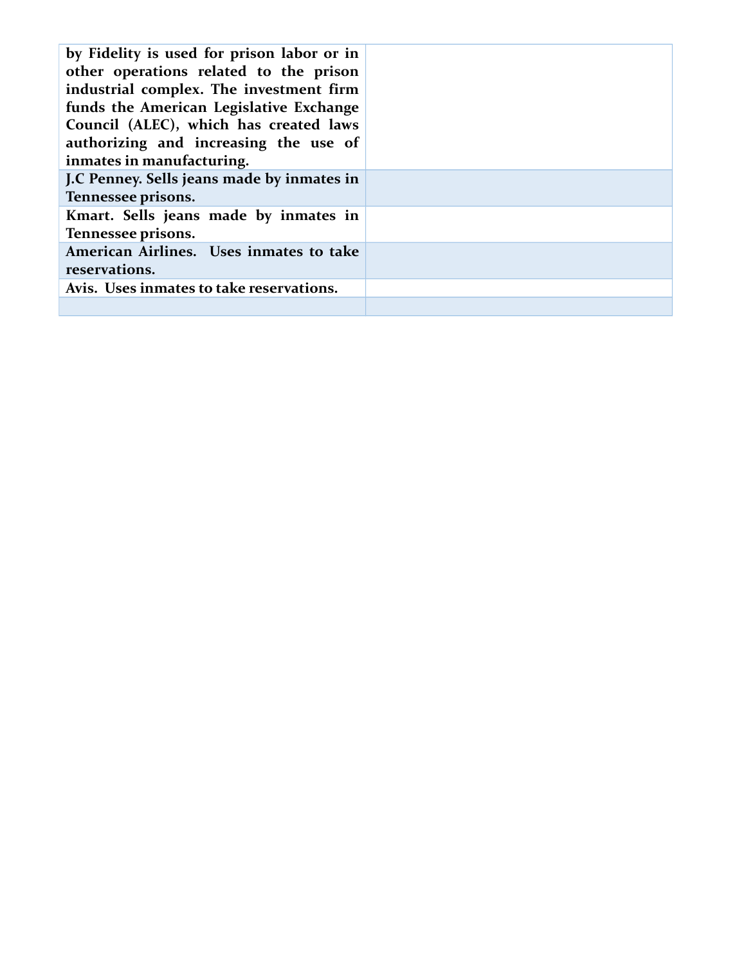| by Fidelity is used for prison labor or in<br>other operations related to the prison<br>industrial complex. The investment firm<br>funds the American Legislative Exchange<br>Council (ALEC), which has created laws<br>authorizing and increasing the use of<br>inmates in manufacturing. |  |
|--------------------------------------------------------------------------------------------------------------------------------------------------------------------------------------------------------------------------------------------------------------------------------------------|--|
| J.C Penney. Sells jeans made by inmates in                                                                                                                                                                                                                                                 |  |
| Tennessee prisons.                                                                                                                                                                                                                                                                         |  |
| Kmart. Sells jeans made by inmates in                                                                                                                                                                                                                                                      |  |
| Tennessee prisons.                                                                                                                                                                                                                                                                         |  |
| American Airlines. Uses inmates to take                                                                                                                                                                                                                                                    |  |
| reservations.                                                                                                                                                                                                                                                                              |  |
|                                                                                                                                                                                                                                                                                            |  |
| Avis. Uses inmates to take reservations.                                                                                                                                                                                                                                                   |  |
|                                                                                                                                                                                                                                                                                            |  |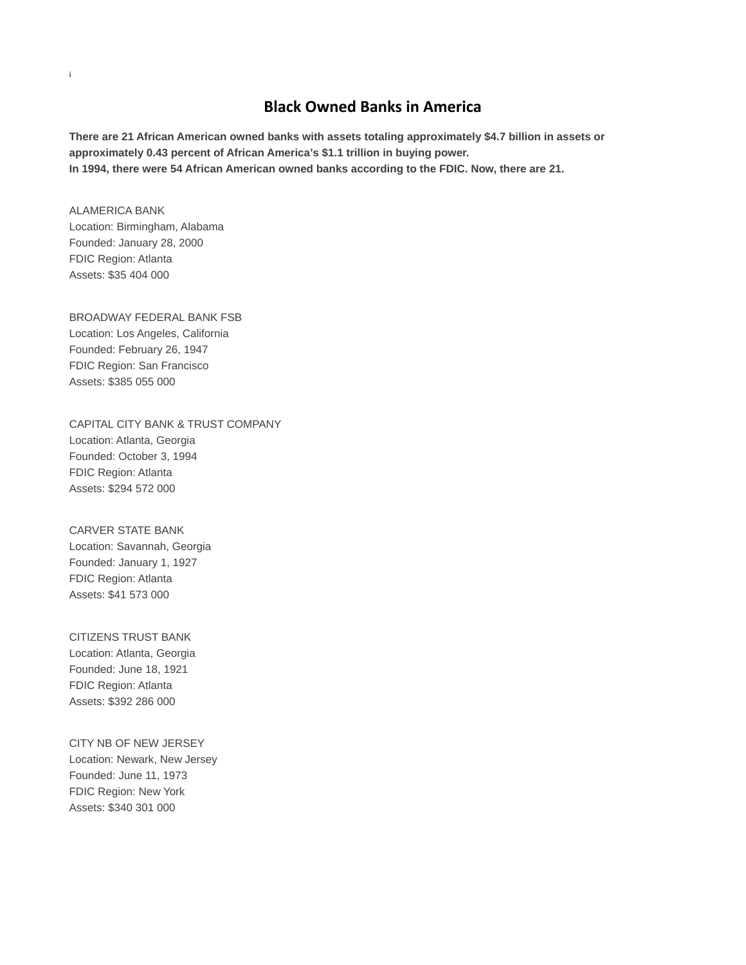#### **Black Owned Banks in America**

**There are 21 African American owned banks with assets totaling approximately \$4.7 billion in assets or approximately 0.43 percent of African America's \$1.1 trillion in buying power. In 1994, there were 54 African American owned banks according to the FDIC. Now, there are 21.**

ALAMERICA BANK Location: Birmingham, Alabama Founded: January 28, 2000 FDIC Region: Atlanta

Assets: \$35 404 000

i

BROADWAY FEDERAL BANK FSB Location: Los Angeles, California Founded: February 26, 1947 FDIC Region: San Francisco

Assets: \$385 055 000 CAPITAL CITY BANK & TRUST COMPANY Location: Atlanta, Georgia Founded: October 3, 1994

FDIC Region: Atlanta Assets: \$294 572 000

CARVER STATE BANK Location: Savannah, Georgia Founded: January 1, 1927 FDIC Region: Atlanta Assets: \$41 573 000

CITIZENS TRUST BANK Location: Atlanta, Georgia Founded: June 18, 1921 FDIC Region: Atlanta Assets: \$392 286 000

CITY NB OF NEW JERSEY Location: Newark, New Jersey Founded: June 11, 1973 FDIC Region: New York Assets: \$340 301 000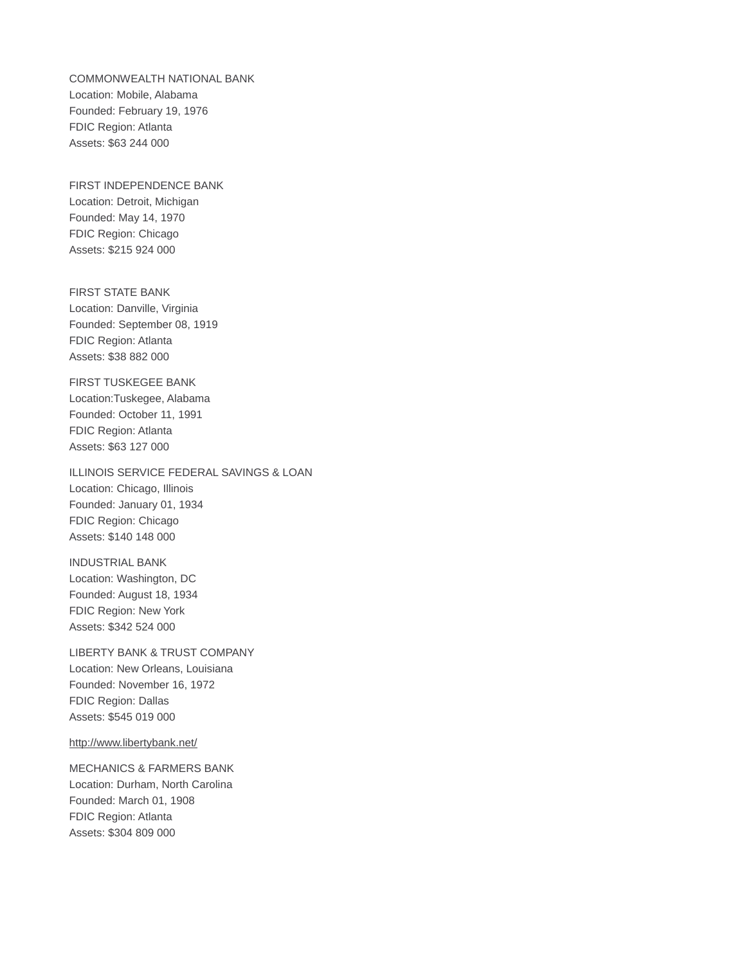COMMONWEALTH NATIONAL BANK Location: Mobile, Alabama Founded: February 19, 1976 FDIC Region: Atlanta Assets: \$63 244 000

FIRST INDEPENDENCE BANK Location: Detroit, Michigan Founded: May 14, 1970 FDIC Region: Chicago Assets: \$215 924 000

FIRST STATE BANK Location: Danville, Virginia Founded: September 08, 1919 FDIC Region: Atlanta Assets: \$38 882 000

FIRST TUSKEGEE BANK Location:Tuskegee, Alabama Founded: October 11, 1991 FDIC Region: Atlanta Assets: \$63 127 000

ILLINOIS SERVICE FEDERAL SAVINGS & LOAN Location: Chicago, Illinois Founded: January 01, 1934 FDIC Region: Chicago Assets: \$140 148 000

INDUSTRIAL BANK Location: Washington, DC Founded: August 18, 1934 FDIC Region: New York Assets: \$342 524 000

LIBERTY BANK & TRUST COMPANY Location: New Orleans, Louisiana Founded: November 16, 1972 FDIC Region: Dallas Assets: \$545 019 000

<http://www.libertybank.net/>

MECHANICS & FARMERS BANK Location: Durham, North Carolina Founded: March 01, 1908 FDIC Region: Atlanta Assets: \$304 809 000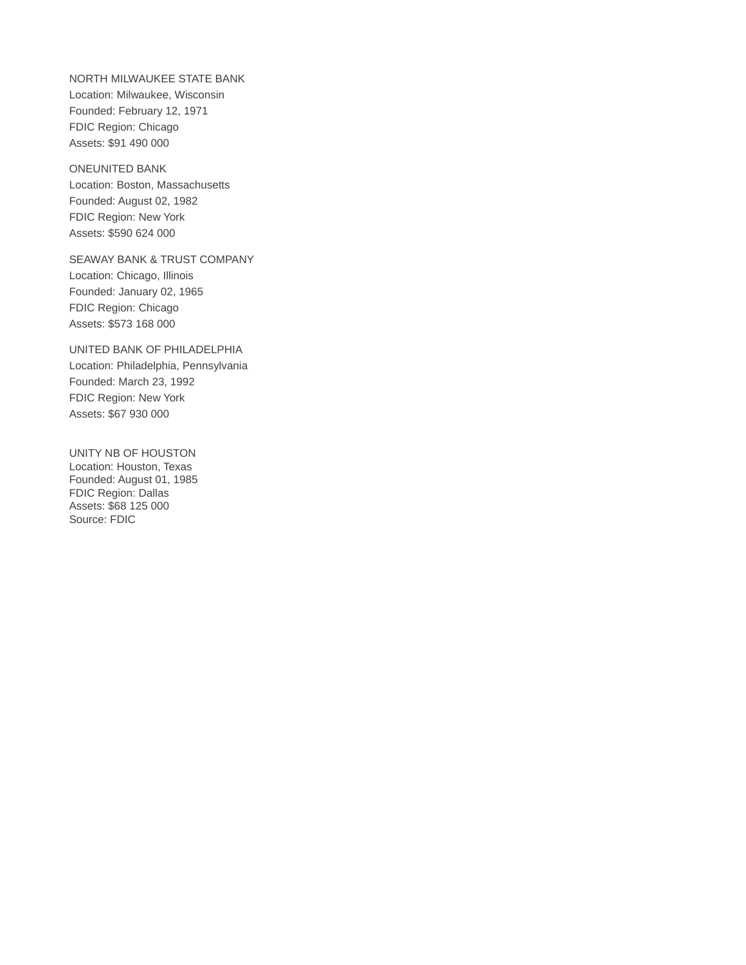NORTH MILWAUKEE STATE BANK Location: Milwaukee, Wisconsin Founded: February 12, 1971 FDIC Region: Chicago Assets: \$91 490 000

ONEUNITED BANK Location: Boston, Massachusetts Founded: August 02, 1982 FDIC Region: New York Assets: \$590 624 000

SEAWAY BANK & TRUST COMPANY Location: Chicago, Illinois Founded: January 02, 1965 FDIC Region: Chicago Assets: \$573 168 000

UNITED BANK OF PHILADELPHIA Location: Philadelphia, Pennsylvania Founded: March 23, 1992 FDIC Region: New York Assets: \$67 930 000

UNITY NB OF HOUSTON Location: Houston, Texas Founded: August 01, 1985 FDIC Region: Dallas Assets: \$68 125 000 Source: FDIC